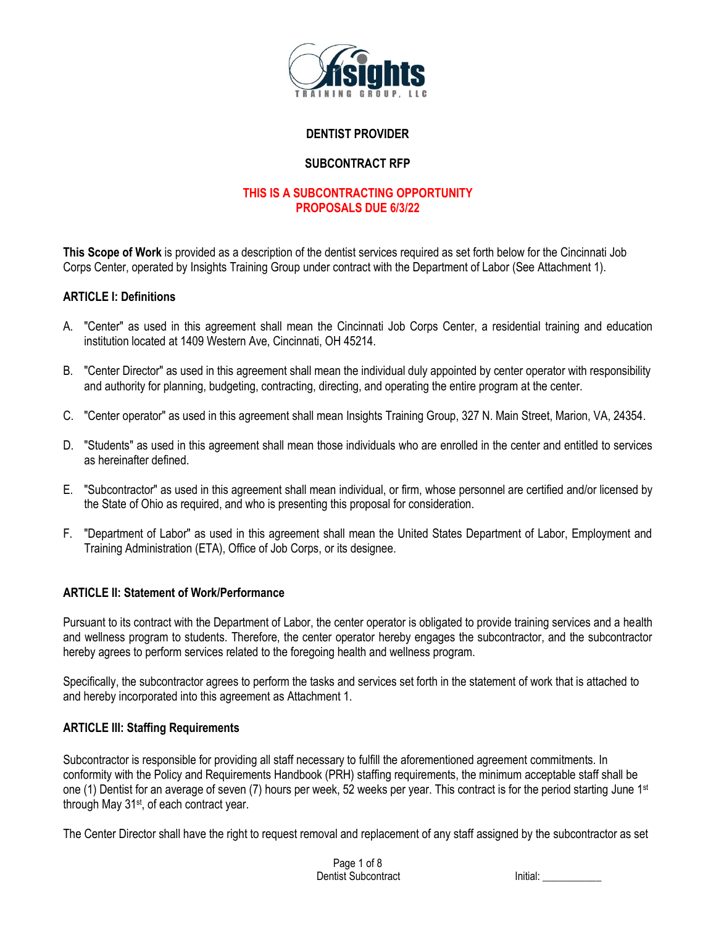

## **DENTIST PROVIDER**

## **SUBCONTRACT RFP**

## **THIS IS A SUBCONTRACTING OPPORTUNITY PROPOSALS DUE 6/3/22**

**This Scope of Work** is provided as a description of the dentist services required as set forth below for the Cincinnati Job Corps Center, operated by Insights Training Group under contract with the Department of Labor (See Attachment 1).

#### **ARTICLE I: Definitions**

- A. "Center" as used in this agreement shall mean the Cincinnati Job Corps Center, a residential training and education institution located at 1409 Western Ave, Cincinnati, OH 45214.
- B. "Center Director" as used in this agreement shall mean the individual duly appointed by center operator with responsibility and authority for planning, budgeting, contracting, directing, and operating the entire program at the center.
- C. "Center operator" as used in this agreement shall mean Insights Training Group, 327 N. Main Street, Marion, VA, 24354.
- D. "Students" as used in this agreement shall mean those individuals who are enrolled in the center and entitled to services as hereinafter defined.
- E. "Subcontractor" as used in this agreement shall mean individual, or firm, whose personnel are certified and/or licensed by the State of Ohio as required, and who is presenting this proposal for consideration.
- F. "Department of Labor" as used in this agreement shall mean the United States Department of Labor, Employment and Training Administration (ETA), Office of Job Corps, or its designee.

#### **ARTICLE II: Statement of Work/Performance**

Pursuant to its contract with the Department of Labor, the center operator is obligated to provide training services and a health and wellness program to students. Therefore, the center operator hereby engages the subcontractor, and the subcontractor hereby agrees to perform services related to the foregoing health and wellness program.

Specifically, the subcontractor agrees to perform the tasks and services set forth in the statement of work that is attached to and hereby incorporated into this agreement as Attachment 1.

#### **ARTICLE III: Staffing Requirements**

Subcontractor is responsible for providing all staff necessary to fulfill the aforementioned agreement commitments. In conformity with the Policy and Requirements Handbook (PRH) staffing requirements, the minimum acceptable staff shall be one (1) Dentist for an average of seven (7) hours per week, 52 weeks per year. This contract is for the period starting June 1st through May 31<sup>st</sup>, of each contract year.

The Center Director shall have the right to request removal and replacement of any staff assigned by the subcontractor as set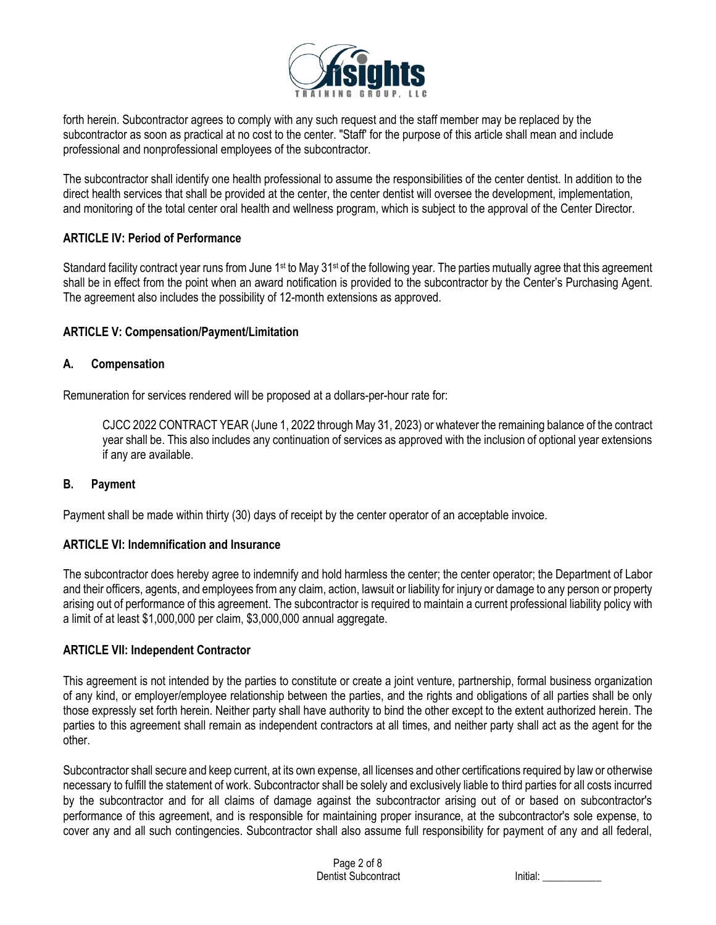

forth herein. Subcontractor agrees to comply with any such request and the staff member may be replaced by the subcontractor as soon as practical at no cost to the center. "Staff' for the purpose of this article shall mean and include professional and nonprofessional employees of the subcontractor.

The subcontractor shall identify one health professional to assume the responsibilities of the center dentist. In addition to the direct health services that shall be provided at the center, the center dentist will oversee the development, implementation, and monitoring of the total center oral health and wellness program, which is subject to the approval of the Center Director.

## **ARTICLE IV: Period of Performance**

Standard facility contract year runs from June 1<sup>st</sup> to May 31<sup>st</sup> of the following year. The parties mutually agree that this agreement shall be in effect from the point when an award notification is provided to the subcontractor by the Center's Purchasing Agent. The agreement also includes the possibility of 12-month extensions as approved.

## **ARTICLE V: Compensation/Payment/Limitation**

## **A. Compensation**

Remuneration for services rendered will be proposed at a dollars-per-hour rate for:

CJCC 2022 CONTRACT YEAR (June 1, 2022 through May 31, 2023) or whatever the remaining balance of the contract year shall be. This also includes any continuation of services as approved with the inclusion of optional year extensions if any are available.

#### **B. Payment**

Payment shall be made within thirty (30) days of receipt by the center operator of an acceptable invoice.

#### **ARTICLE VI: Indemnification and Insurance**

The subcontractor does hereby agree to indemnify and hold harmless the center; the center operator; the Department of Labor and their officers, agents, and employees from any claim, action, lawsuit or liability for injury or damage to any person or property arising out of performance of this agreement. The subcontractor is required to maintain a current professional liability policy with a limit of at least \$1,000,000 per claim, \$3,000,000 annual aggregate.

#### **ARTICLE VII: Independent Contractor**

This agreement is not intended by the parties to constitute or create a joint venture, partnership, formal business organization of any kind, or employer/employee relationship between the parties, and the rights and obligations of all parties shall be only those expressly set forth herein. Neither party shall have authority to bind the other except to the extent authorized herein. The parties to this agreement shall remain as independent contractors at all times, and neither party shall act as the agent for the other.

Subcontractor shall secure and keep current, at its own expense, all licenses and other certifications required by law or otherwise necessary to fulfill the statement of work. Subcontractor shall be solely and exclusively liable to third parties for all costs incurred by the subcontractor and for all claims of damage against the subcontractor arising out of or based on subcontractor's performance of this agreement, and is responsible for maintaining proper insurance, at the subcontractor's sole expense, to cover any and all such contingencies. Subcontractor shall also assume full responsibility for payment of any and all federal,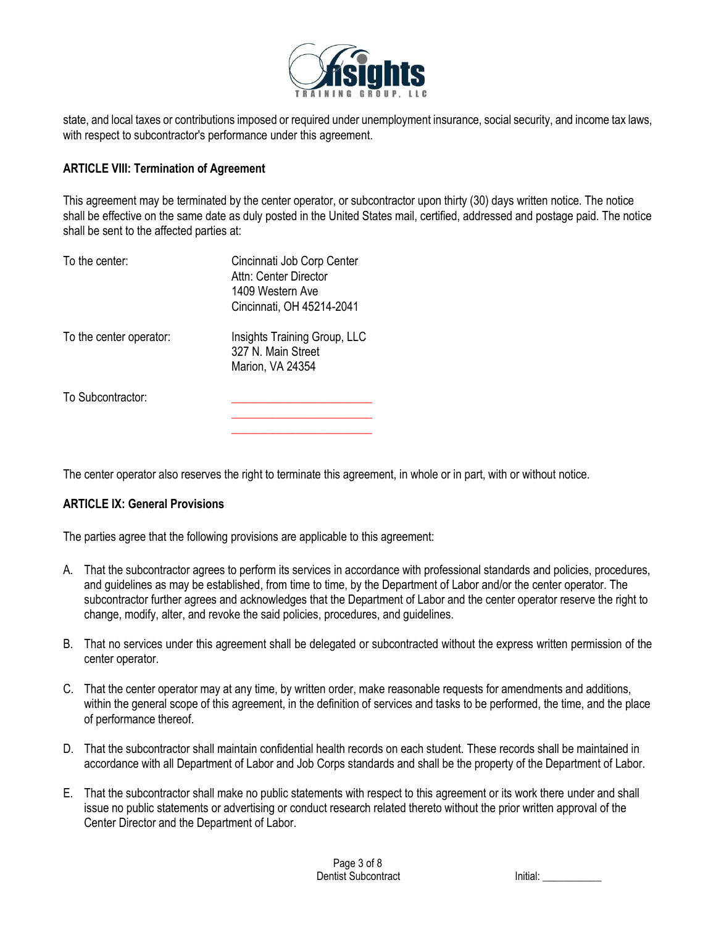

state, and local taxes or contributions imposed or required under unemployment insurance, social security, and income tax laws, with respect to subcontractor's performance under this agreement.

## **ARTICLE VIII: Termination of Agreement**

This agreement may be terminated by the center operator, or subcontractor upon thirty (30) days written notice. The notice shall be effective on the same date as duly posted in the United States mail, certified, addressed and postage paid. The notice shall be sent to the affected parties at:

| To the center:          | Cincinnati Job Corp Center<br>Attn: Center Director<br>1409 Western Ave<br>Cincinnati, OH 45214-2041 |
|-------------------------|------------------------------------------------------------------------------------------------------|
| To the center operator: | Insights Training Group, LLC<br>327 N. Main Street<br>Marion, VA 24354                               |
| To Subcontractor:       |                                                                                                      |

The center operator also reserves the right to terminate this agreement, in whole or in part, with or without notice.

#### **ARTICLE IX: General Provisions**

The parties agree that the following provisions are applicable to this agreement:

- A. That the subcontractor agrees to perform its services in accordance with professional standards and policies, procedures, and guidelines as may be established, from time to time, by the Department of Labor and/or the center operator. The subcontractor further agrees and acknowledges that the Department of Labor and the center operator reserve the right to change, modify, alter, and revoke the said policies, procedures, and guidelines.
- B. That no services under this agreement shall be delegated or subcontracted without the express written permission of the center operator.
- C. That the center operator may at any time, by written order, make reasonable requests for amendments and additions, within the general scope of this agreement, in the definition of services and tasks to be performed, the time, and the place of performance thereof.
- D. That the subcontractor shall maintain confidential health records on each student. These records shall be maintained in accordance with all Department of Labor and Job Corps standards and shall be the property of the Department of Labor.
- E. That the subcontractor shall make no public statements with respect to this agreement or its work there under and shall issue no public statements or advertising or conduct research related thereto without the prior written approval of the Center Director and the Department of Labor.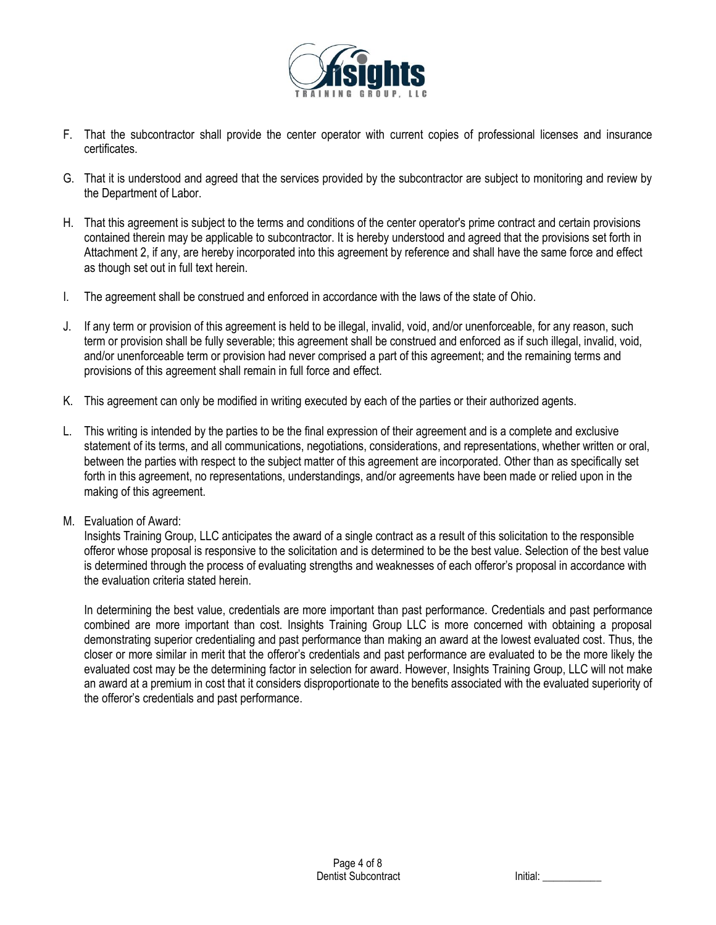

- F. That the subcontractor shall provide the center operator with current copies of professional licenses and insurance certificates.
- G. That it is understood and agreed that the services provided by the subcontractor are subject to monitoring and review by the Department of Labor.
- H. That this agreement is subject to the terms and conditions of the center operator's prime contract and certain provisions contained therein may be applicable to subcontractor. It is hereby understood and agreed that the provisions set forth in Attachment 2, if any, are hereby incorporated into this agreement by reference and shall have the same force and effect as though set out in full text herein.
- I. The agreement shall be construed and enforced in accordance with the laws of the state of Ohio.
- J. If any term or provision of this agreement is held to be illegal, invalid, void, and/or unenforceable, for any reason, such term or provision shall be fully severable; this agreement shall be construed and enforced as if such illegal, invalid, void, and/or unenforceable term or provision had never comprised a part of this agreement; and the remaining terms and provisions of this agreement shall remain in full force and effect.
- K. This agreement can only be modified in writing executed by each of the parties or their authorized agents.
- L. This writing is intended by the parties to be the final expression of their agreement and is a complete and exclusive statement of its terms, and all communications, negotiations, considerations, and representations, whether written or oral, between the parties with respect to the subject matter of this agreement are incorporated. Other than as specifically set forth in this agreement, no representations, understandings, and/or agreements have been made or relied upon in the making of this agreement.
- M. Evaluation of Award:

Insights Training Group, LLC anticipates the award of a single contract as a result of this solicitation to the responsible offeror whose proposal is responsive to the solicitation and is determined to be the best value. Selection of the best value is determined through the process of evaluating strengths and weaknesses of each offeror's proposal in accordance with the evaluation criteria stated herein.

In determining the best value, credentials are more important than past performance. Credentials and past performance combined are more important than cost. Insights Training Group LLC is more concerned with obtaining a proposal demonstrating superior credentialing and past performance than making an award at the lowest evaluated cost. Thus, the closer or more similar in merit that the offeror's credentials and past performance are evaluated to be the more likely the evaluated cost may be the determining factor in selection for award. However, Insights Training Group, LLC will not make an award at a premium in cost that it considers disproportionate to the benefits associated with the evaluated superiority of the offeror's credentials and past performance.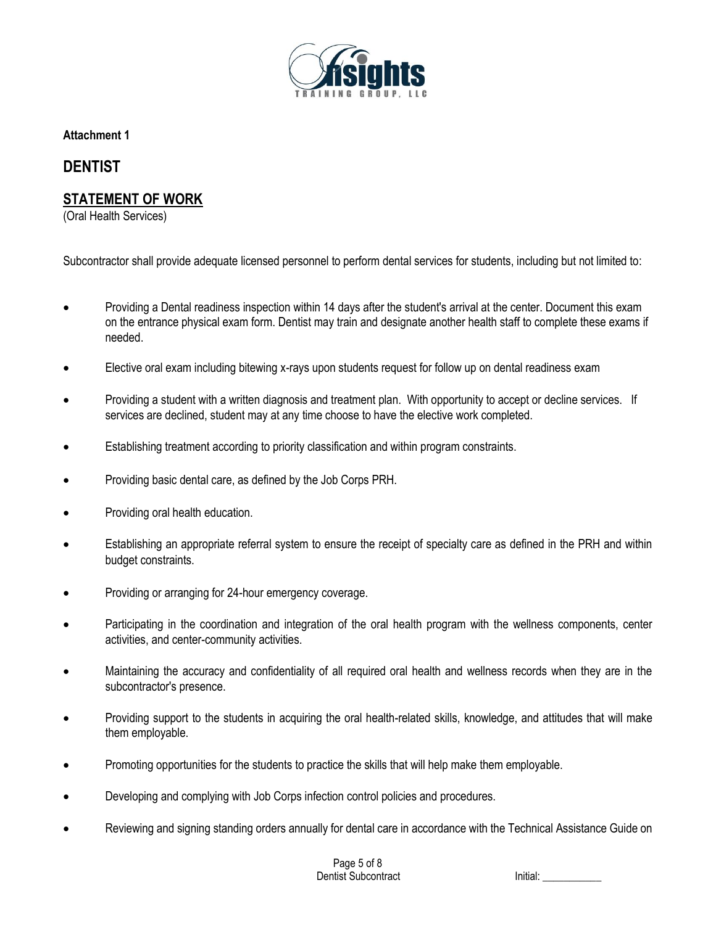

**Attachment 1**

# **DENTIST**

## **STATEMENT OF WORK**

(Oral Health Services)

Subcontractor shall provide adequate licensed personnel to perform dental services for students, including but not limited to:

- Providing a Dental readiness inspection within 14 days after the student's arrival at the center. Document this exam on the entrance physical exam form. Dentist may train and designate another health staff to complete these exams if needed.
- Elective oral exam including bitewing x-rays upon students request for follow up on dental readiness exam
- Providing a student with a written diagnosis and treatment plan. With opportunity to accept or decline services. If services are declined, student may at any time choose to have the elective work completed.
- Establishing treatment according to priority classification and within program constraints.
- Providing basic dental care, as defined by the Job Corps PRH.
- Providing oral health education.
- Establishing an appropriate referral system to ensure the receipt of specialty care as defined in the PRH and within budget constraints.
- Providing or arranging for 24-hour emergency coverage.
- Participating in the coordination and integration of the oral health program with the wellness components, center activities, and center-community activities.
- Maintaining the accuracy and confidentiality of all required oral health and wellness records when they are in the subcontractor's presence.
- Providing support to the students in acquiring the oral health-related skills, knowledge, and attitudes that will make them employable.
- Promoting opportunities for the students to practice the skills that will help make them employable.
- Developing and complying with Job Corps infection control policies and procedures.
- Reviewing and signing standing orders annually for dental care in accordance with the Technical Assistance Guide on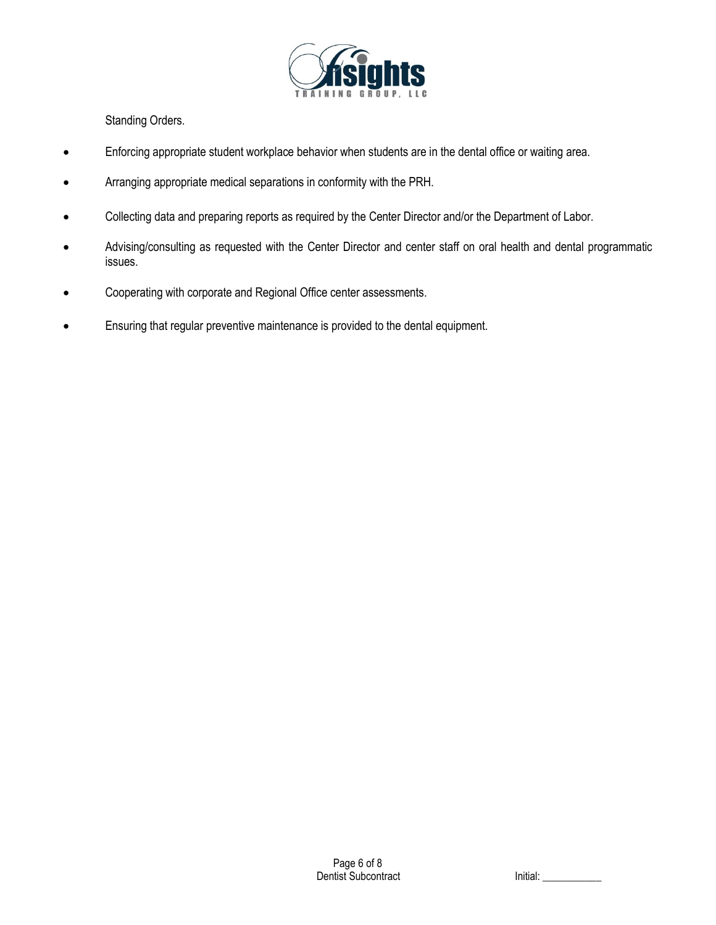

Standing Orders.

- Enforcing appropriate student workplace behavior when students are in the dental office or waiting area.
- Arranging appropriate medical separations in conformity with the PRH.
- Collecting data and preparing reports as required by the Center Director and/or the Department of Labor.
- Advising/consulting as requested with the Center Director and center staff on oral health and dental programmatic issues.
- Cooperating with corporate and Regional Office center assessments.
- Ensuring that regular preventive maintenance is provided to the dental equipment.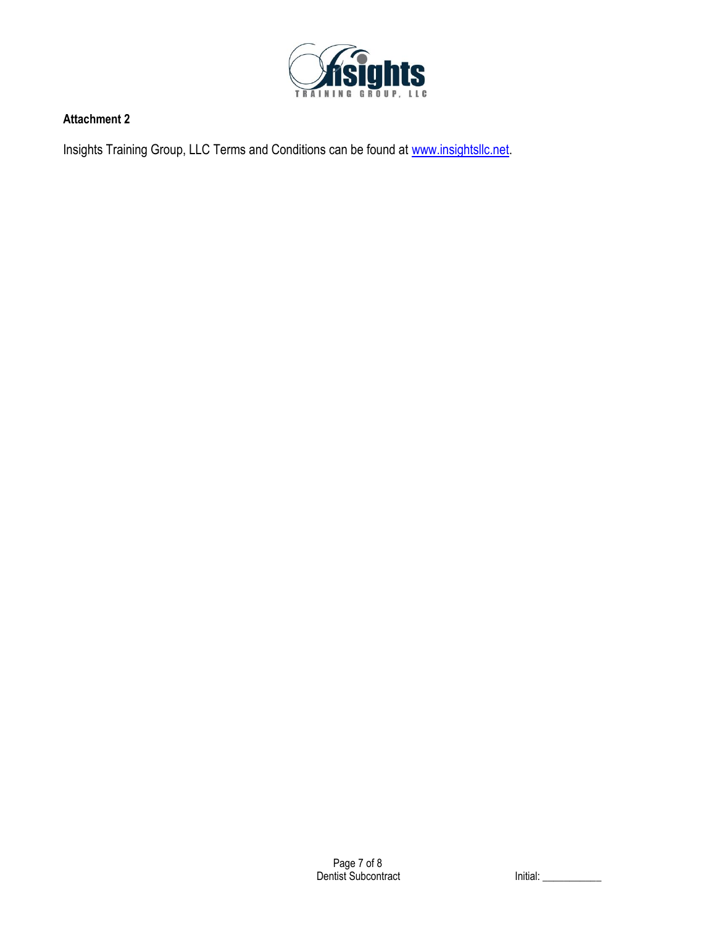

## **Attachment 2**

Insights Training Group, LLC Terms and Conditions can be found at [www.insightsllc.net.](http://www.insightsllc.net/)